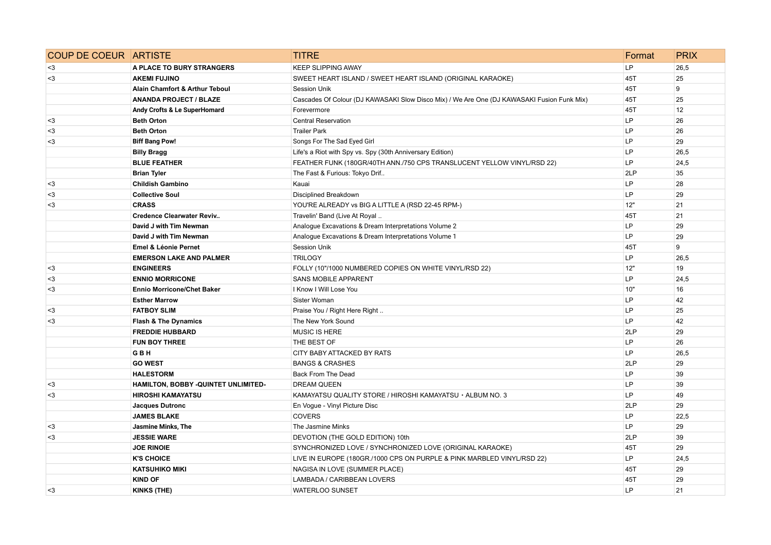| <b>COUP DE COEUR ARTISTE</b> |                                           | <b>TITRE</b>                                                                               | Format    | <b>PRIX</b> |
|------------------------------|-------------------------------------------|--------------------------------------------------------------------------------------------|-----------|-------------|
| $3$                          | A PLACE TO BURY STRANGERS                 | <b>KEEP SLIPPING AWAY</b>                                                                  | <b>LP</b> | 26,5        |
| $3$                          | <b>AKEMI FUJINO</b>                       | SWEET HEART ISLAND / SWEET HEART ISLAND (ORIGINAL KARAOKE)                                 | 45T       | 25          |
|                              | <b>Alain Chamfort &amp; Arthur Teboul</b> | <b>Session Unik</b>                                                                        | 45T       | 9           |
|                              | <b>ANANDA PROJECT / BLAZE</b>             | Cascades Of Colour (DJ KAWASAKI Slow Disco Mix) / We Are One (DJ KAWASAKI Fusion Funk Mix) | 45T       | 25          |
|                              | Andy Crofts & Le SuperHomard              | Forevermore                                                                                | 45T       | 12          |
| $3$                          | <b>Beth Orton</b>                         | Central Reservation                                                                        | LP        | 26          |
| $3$                          | <b>Beth Orton</b>                         | <b>Trailer Park</b>                                                                        | LP        | 26          |
| $3$                          | <b>Biff Bang Pow!</b>                     | Songs For The Sad Eyed Girl                                                                | LP        | 29          |
|                              | <b>Billy Bragg</b>                        | Life's a Riot with Spy vs. Spy (30th Anniversary Edition)                                  | LP        | 26,5        |
|                              | <b>BLUE FEATHER</b>                       | FEATHER FUNK (180GR/40TH ANN./750 CPS TRANSLUCENT YELLOW VINYL/RSD 22)                     | LP        | 24,5        |
|                              | <b>Brian Tyler</b>                        | The Fast & Furious: Tokyo Drif                                                             | 2LP       | 35          |
| $3$                          | <b>Childish Gambino</b>                   | Kauai                                                                                      | LP        | 28          |
| $3$                          | <b>Collective Soul</b>                    | Disciplined Breakdown                                                                      | LP        | 29          |
| $3$                          | <b>CRASS</b>                              | YOU'RE ALREADY vs BIG A LITTLE A (RSD 22-45 RPM-)                                          | 12"       | 21          |
|                              | <b>Credence Clearwater Reviv</b>          | Travelin' Band (Live At Royal                                                              | 45T       | 21          |
|                              | David J with Tim Newman                   | Analogue Excavations & Dream Interpretations Volume 2                                      | LP        | 29          |
|                              | David J with Tim Newman                   | Analogue Excavations & Dream Interpretations Volume 1                                      | LP.       | 29          |
|                              | Emel & Léonie Pernet                      | <b>Session Unik</b>                                                                        | 45T       | 9           |
|                              | <b>EMERSON LAKE AND PALMER</b>            | <b>TRILOGY</b>                                                                             | LP        | 26,5        |
| $3$                          | <b>ENGINEERS</b>                          | FOLLY (10"/1000 NUMBERED COPIES ON WHITE VINYL/RSD 22)                                     | 12"       | 19          |
| $3$                          | <b>ENNIO MORRICONE</b>                    | <b>SANS MOBILE APPARENT</b>                                                                | LP.       | 24,5        |
| $3$                          | <b>Ennio Morricone/Chet Baker</b>         | I Know I Will Lose You                                                                     | 10"       | 16          |
|                              | <b>Esther Marrow</b>                      | Sister Woman                                                                               | LP        | 42          |
| $3$                          | <b>FATBOY SLIM</b>                        | Praise You / Right Here Right                                                              | LP        | 25          |
| $3$                          | <b>Flash &amp; The Dynamics</b>           | The New York Sound                                                                         | LP        | 42          |
|                              | <b>FREDDIE HUBBARD</b>                    | <b>MUSIC IS HERE</b>                                                                       | 2LP       | 29          |
|                              | <b>FUN BOY THREE</b>                      | THE BEST OF                                                                                | LP.       | 26          |
|                              | <b>GBH</b>                                | CITY BABY ATTACKED BY RATS                                                                 | LP        | 26,5        |
|                              | <b>GO WEST</b>                            | <b>BANGS &amp; CRASHES</b>                                                                 | 2LP       | 29          |
|                              | <b>HALESTORM</b>                          | Back From The Dead                                                                         | LP        | 39          |
| $3$                          | HAMILTON, BOBBY -QUINTET UNLIMITED-       | <b>DREAM QUEEN</b>                                                                         | LP        | 39          |
| $3$                          | <b>HIROSHI KAMAYATSU</b>                  | KAMAYATSU QUALITY STORE / HIROSHI KAMAYATSU · ALBUM NO. 3                                  | LP.       | 49          |
|                              | <b>Jacques Dutronc</b>                    | En Vogue - Vinyl Picture Disc                                                              | 2LP       | 29          |
|                              | <b>JAMES BLAKE</b>                        | <b>COVERS</b>                                                                              | LP.       | 22,5        |
| $3$                          | Jasmine Minks, The                        | The Jasmine Minks                                                                          | LP.       | 29          |
| $3$                          | <b>JESSIE WARE</b>                        | DEVOTION (THE GOLD EDITION) 10th                                                           | 2LP       | 39          |
|                              | <b>JOE RINOIE</b>                         | SYNCHRONIZED LOVE / SYNCHRONIZED LOVE (ORIGINAL KARAOKE)                                   | 45T       | 29          |
|                              | <b>K'S CHOICE</b>                         | LIVE IN EUROPE (180GR./1000 CPS ON PURPLE & PINK MARBLED VINYL/RSD 22)                     | LP        | 24,5        |
|                              | <b>KATSUHIKO MIKI</b>                     | NAGISA IN LOVE (SUMMER PLACE)                                                              | 45T       | 29          |
|                              | <b>KIND OF</b>                            | LAMBADA / CARIBBEAN LOVERS                                                                 | 45T       | 29          |
| $3$                          | <b>KINKS (THE)</b>                        | <b>WATERLOO SUNSET</b>                                                                     | LP        | 21          |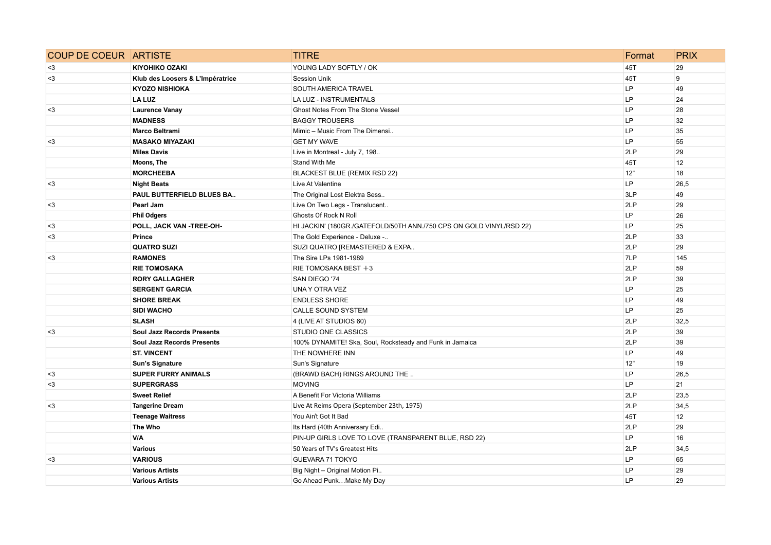| <b>COUP DE COEUR ARTISTE</b> |                                   | <b>TITRE</b>                                                        | Format    | <b>PRIX</b> |
|------------------------------|-----------------------------------|---------------------------------------------------------------------|-----------|-------------|
| $3$                          | <b>KIYOHIKO OZAKI</b>             | YOUNG LADY SOFTLY / OK                                              | 45T       | 29          |
| $3$                          | Klub des Loosers & L'Impératrice  | <b>Session Unik</b>                                                 | 45T       | 9           |
|                              | <b>KYOZO NISHIOKA</b>             | SOUTH AMERICA TRAVEL                                                | LP        | 49          |
|                              | <b>LA LUZ</b>                     | <b>LA LUZ - INSTRUMENTALS</b>                                       | LP        | 24          |
| $3$                          | <b>Laurence Vanay</b>             | Ghost Notes From The Stone Vessel                                   | LP        | 28          |
|                              | <b>MADNESS</b>                    | <b>BAGGY TROUSERS</b>                                               | LP        | 32          |
|                              | Marco Beltrami                    | Mimic - Music From The Dimensi                                      | LP        | 35          |
| $3$                          | <b>MASAKO MIYAZAKI</b>            | <b>GET MY WAVE</b>                                                  | LP        | 55          |
|                              | <b>Miles Davis</b>                | Live in Montreal - July 7, 198                                      | 2LP       | 29          |
|                              | Moons, The                        | Stand With Me                                                       | 45T       | 12          |
|                              | <b>MORCHEEBA</b>                  | BLACKEST BLUE (REMIX RSD 22)                                        | 12"       | 18          |
| $3$                          | <b>Night Beats</b>                | Live At Valentine                                                   | LP        | 26,5        |
|                              | PAUL BUTTERFIELD BLUES BA         | The Original Lost Elektra Sess                                      | 3LP       | 49          |
| $3$                          | Pearl Jam                         | Live On Two Legs - Translucent                                      | 2LP       | 29          |
|                              | <b>Phil Odgers</b>                | <b>Ghosts Of Rock N Roll</b>                                        | LP        | 26          |
| $3$                          | POLL, JACK VAN -TREE-OH-          | HI JACKIN' (180GR./GATEFOLD/50TH ANN./750 CPS ON GOLD VINYL/RSD 22) | LP.       | 25          |
| $3$                          | Prince                            | The Gold Experience - Deluxe -                                      | 2LP       | 33          |
|                              | <b>QUATRO SUZI</b>                | SUZI QUATRO [REMASTERED & EXPA                                      | 2LP       | 29          |
| $3$                          | <b>RAMONES</b>                    | The Sire LPs 1981-1989                                              | 7LP       | 145         |
|                              | <b>RIE TOMOSAKA</b>               | RIE TOMOSAKA BEST +3                                                | 2LP       | 59          |
|                              | <b>RORY GALLAGHER</b>             | SAN DIEGO '74                                                       | 2LP       | 39          |
|                              | <b>SERGENT GARCIA</b>             | UNA Y OTRA VEZ                                                      | LP        | 25          |
|                              | <b>SHORE BREAK</b>                | <b>ENDLESS SHORE</b>                                                | LP        | 49          |
|                              | <b>SIDI WACHO</b>                 | <b>CALLE SOUND SYSTEM</b>                                           | LP        | 25          |
|                              | <b>SLASH</b>                      | 4 (LIVE AT STUDIOS 60)                                              | 2LP       | 32,5        |
| $3$                          | <b>Soul Jazz Records Presents</b> | STUDIO ONE CLASSICS                                                 | 2LP       | 39          |
|                              | <b>Soul Jazz Records Presents</b> | 100% DYNAMITE! Ska, Soul, Rocksteady and Funk in Jamaica            | 2LP       | 39          |
|                              | <b>ST. VINCENT</b>                | THE NOWHERE INN                                                     | LP        | 49          |
|                              | <b>Sun's Signature</b>            | Sun's Signature                                                     | 12"       | 19          |
| $3$                          | <b>SUPER FURRY ANIMALS</b>        | (BRAWD BACH) RINGS AROUND THE                                       | LP        | 26,5        |
| $3$                          | <b>SUPERGRASS</b>                 | <b>MOVING</b>                                                       | LP.       | 21          |
|                              | <b>Sweet Relief</b>               | A Benefit For Victoria Williams                                     | 2LP       | 23,5        |
| $3$                          | <b>Tangerine Dream</b>            | Live At Reims Opera (September 23th, 1975)                          | 2LP       | 34,5        |
|                              | <b>Teenage Waitress</b>           | You Ain't Got It Bad                                                | 45T       | 12          |
|                              | The Who                           | Its Hard (40th Anniversary Edi                                      | 2LP       | 29          |
|                              | <b>V/A</b>                        | PIN-UP GIRLS LOVE TO LOVE (TRANSPARENT BLUE, RSD 22)                | LP        | 16          |
|                              | <b>Various</b>                    | 50 Years of TV's Greatest Hits                                      | 2LP       | 34,5        |
| $3$                          | <b>VARIOUS</b>                    | GUEVARA 71 TOKYO                                                    | LP        | 65          |
|                              | <b>Various Artists</b>            | Big Night - Original Motion Pi                                      | LP        | 29          |
|                              | <b>Various Artists</b>            | Go Ahead PunkMake My Day                                            | <b>LP</b> | 29          |